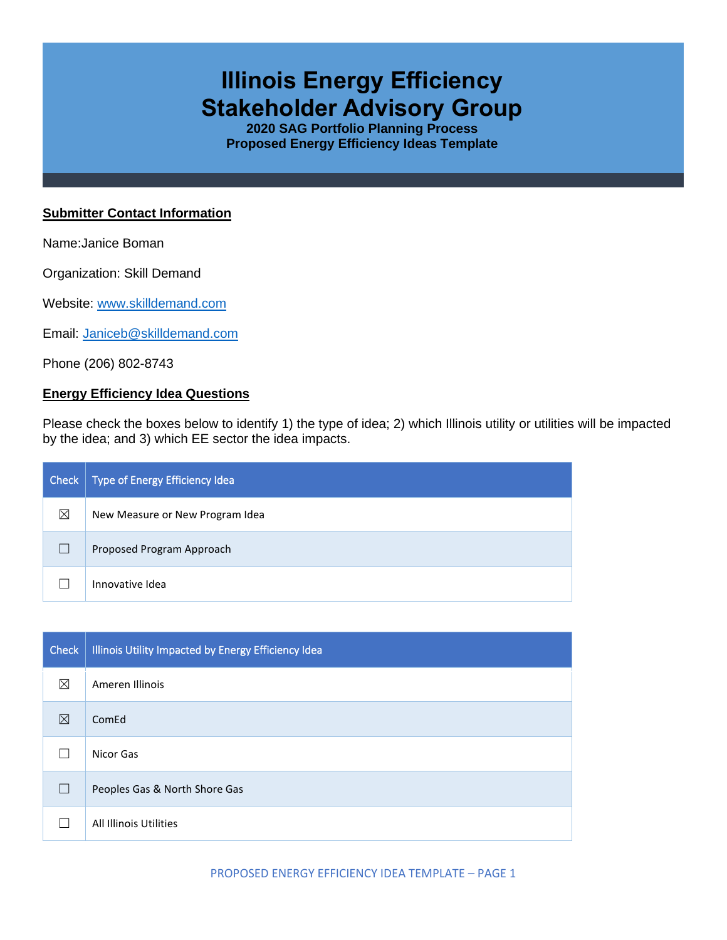# **Illinois Energy Efficiency Stakeholder Advisory Group**

**2020 SAG Portfolio Planning Process Proposed Energy Efficiency Ideas Template**

#### **Submitter Contact Information**

Name:Janice Boman

Organization: Skill Demand

Website: [www.skilldemand.com](http://www.skilldemand.com/)

Email: [Janiceb@skilldemand.com](mailto:Janiceb@skilldemand.com)

Phone (206) 802-8743

## **Energy Efficiency Idea Questions**

Please check the boxes below to identify 1) the type of idea; 2) which Illinois utility or utilities will be impacted by the idea; and 3) which EE sector the idea impacts.

| Check | Type of Energy Efficiency Idea  |
|-------|---------------------------------|
| ⊠     | New Measure or New Program Idea |
|       | Proposed Program Approach       |
|       | Innovative Idea                 |

| <b>Check</b> | Illinois Utility Impacted by Energy Efficiency Idea |
|--------------|-----------------------------------------------------|
| $\boxtimes$  | Ameren Illinois                                     |
| ⊠            | ComEd                                               |
|              | Nicor Gas                                           |
| $\Box$       | Peoples Gas & North Shore Gas                       |
|              | All Illinois Utilities                              |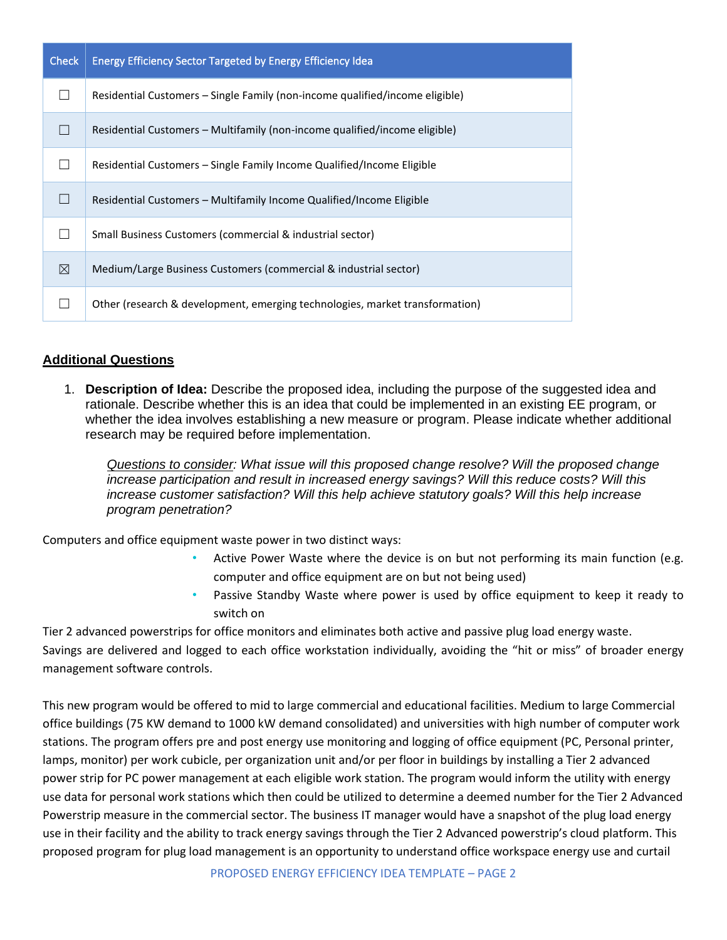| <b>Check</b> | <b>Energy Efficiency Sector Targeted by Energy Efficiency Idea</b>           |
|--------------|------------------------------------------------------------------------------|
|              | Residential Customers – Single Family (non-income qualified/income eligible) |
| $\mathsf{L}$ | Residential Customers – Multifamily (non-income qualified/income eligible)   |
|              | Residential Customers – Single Family Income Qualified/Income Eligible       |
|              | Residential Customers – Multifamily Income Qualified/Income Eligible         |
|              | Small Business Customers (commercial & industrial sector)                    |
| $\boxtimes$  | Medium/Large Business Customers (commercial & industrial sector)             |
|              | Other (research & development, emerging technologies, market transformation) |

# **Additional Questions**

1. **Description of Idea:** Describe the proposed idea, including the purpose of the suggested idea and rationale. Describe whether this is an idea that could be implemented in an existing EE program, or whether the idea involves establishing a new measure or program. Please indicate whether additional research may be required before implementation.

*Questions to consider: What issue will this proposed change resolve? Will the proposed change increase participation and result in increased energy savings? Will this reduce costs? Will this increase customer satisfaction? Will this help achieve statutory goals? Will this help increase program penetration?* 

Computers and office equipment waste power in two distinct ways:

- Active Power Waste where the device is on but not performing its main function (e.g. computer and office equipment are on but not being used)
- Passive Standby Waste where power is used by office equipment to keep it ready to switch on

Tier 2 advanced powerstrips for office monitors and eliminates both active and passive plug load energy waste. Savings are delivered and logged to each office workstation individually, avoiding the "hit or miss" of broader energy management software controls.

This new program would be offered to mid to large commercial and educational facilities. Medium to large Commercial office buildings (75 KW demand to 1000 kW demand consolidated) and universities with high number of computer work stations. The program offers pre and post energy use monitoring and logging of office equipment (PC, Personal printer, lamps, monitor) per work cubicle, per organization unit and/or per floor in buildings by installing a Tier 2 advanced power strip for PC power management at each eligible work station. The program would inform the utility with energy use data for personal work stations which then could be utilized to determine a deemed number for the Tier 2 Advanced Powerstrip measure in the commercial sector. The business IT manager would have a snapshot of the plug load energy use in their facility and the ability to track energy savings through the Tier 2 Advanced powerstrip's cloud platform. This proposed program for plug load management is an opportunity to understand office workspace energy use and curtail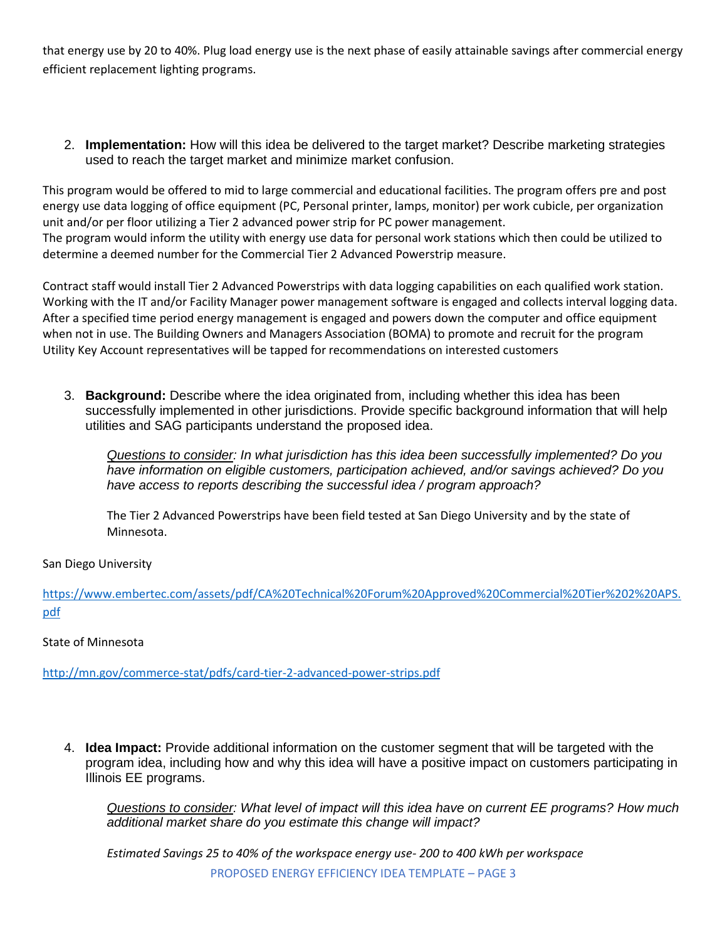that energy use by 20 to 40%. Plug load energy use is the next phase of easily attainable savings after commercial energy efficient replacement lighting programs.

2. **Implementation:** How will this idea be delivered to the target market? Describe marketing strategies used to reach the target market and minimize market confusion.

This program would be offered to mid to large commercial and educational facilities. The program offers pre and post energy use data logging of office equipment (PC, Personal printer, lamps, monitor) per work cubicle, per organization unit and/or per floor utilizing a Tier 2 advanced power strip for PC power management. The program would inform the utility with energy use data for personal work stations which then could be utilized to determine a deemed number for the Commercial Tier 2 Advanced Powerstrip measure.

Contract staff would install Tier 2 Advanced Powerstrips with data logging capabilities on each qualified work station. Working with the IT and/or Facility Manager power management software is engaged and collects interval logging data. After a specified time period energy management is engaged and powers down the computer and office equipment when not in use. The Building Owners and Managers Association (BOMA) to promote and recruit for the program Utility Key Account representatives will be tapped for recommendations on interested customers

3. **Background:** Describe where the idea originated from, including whether this idea has been successfully implemented in other jurisdictions. Provide specific background information that will help utilities and SAG participants understand the proposed idea.

*Questions to consider: In what jurisdiction has this idea been successfully implemented? Do you have information on eligible customers, participation achieved, and/or savings achieved? Do you have access to reports describing the successful idea / program approach?* 

The Tier 2 Advanced Powerstrips have been field tested at San Diego University and by the state of Minnesota.

## San Diego University

[https://www.embertec.com/assets/pdf/CA%20Technical%20Forum%20Approved%20Commercial%20Tier%202%20APS.](https://www.embertec.com/assets/pdf/CA%20Technical%20Forum%20Approved%20Commercial%20Tier%202%20APS.pdf) [pdf](https://www.embertec.com/assets/pdf/CA%20Technical%20Forum%20Approved%20Commercial%20Tier%202%20APS.pdf)

#### State of Minnesota

<http://mn.gov/commerce-stat/pdfs/card-tier-2-advanced-power-strips.pdf>

4. **Idea Impact:** Provide additional information on the customer segment that will be targeted with the program idea, including how and why this idea will have a positive impact on customers participating in Illinois EE programs.

*Questions to consider: What level of impact will this idea have on current EE programs? How much additional market share do you estimate this change will impact?*

*Estimated Savings 25 to 40% of the workspace energy use- 200 to 400 kWh per workspace*